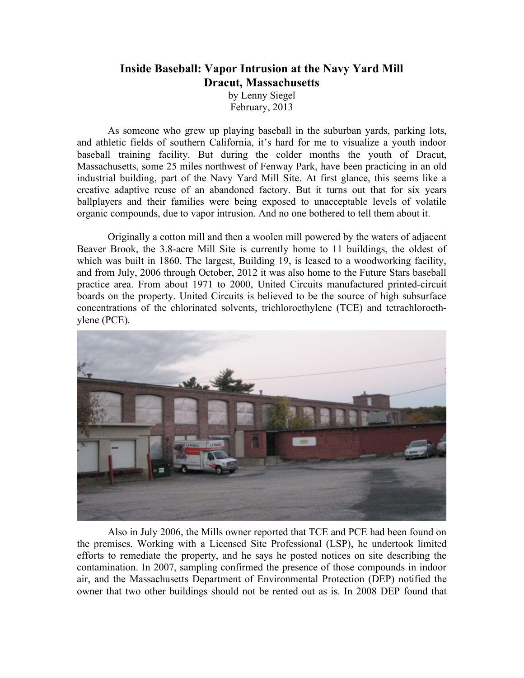## **Inside Baseball: Vapor Intrusion at the Navy Yard Mill Dracut, Massachusetts**

by Lenny Siegel February, 2013

As someone who grew up playing baseball in the suburban yards, parking lots, and athletic fields of southern California, it's hard for me to visualize a youth indoor baseball training facility. But during the colder months the youth of Dracut, Massachusetts, some 25 miles northwest of Fenway Park, have been practicing in an old industrial building, part of the Navy Yard Mill Site. At first glance, this seems like a creative adaptive reuse of an abandoned factory. But it turns out that for six years ballplayers and their families were being exposed to unacceptable levels of volatile organic compounds, due to vapor intrusion. And no one bothered to tell them about it.

Originally a cotton mill and then a woolen mill powered by the waters of adjacent Beaver Brook, the 3.8-acre Mill Site is currently home to 11 buildings, the oldest of which was built in 1860. The largest, Building 19, is leased to a woodworking facility, and from July, 2006 through October, 2012 it was also home to the Future Stars baseball practice area. From about 1971 to 2000, United Circuits manufactured printed-circuit boards on the property. United Circuits is believed to be the source of high subsurface concentrations of the chlorinated solvents, trichloroethylene (TCE) and tetrachloroethylene (PCE).



Also in July 2006, the Mills owner reported that TCE and PCE had been found on the premises. Working with a Licensed Site Professional (LSP), he undertook limited efforts to remediate the property, and he says he posted notices on site describing the contamination. In 2007, sampling confirmed the presence of those compounds in indoor air, and the Massachusetts Department of Environmental Protection (DEP) notified the owner that two other buildings should not be rented out as is. In 2008 DEP found that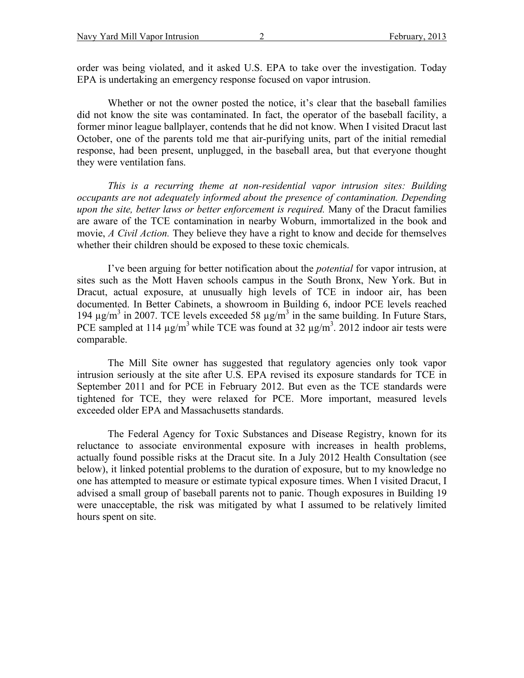order was being violated, and it asked U.S. EPA to take over the investigation. Today EPA is undertaking an emergency response focused on vapor intrusion.

Whether or not the owner posted the notice, it's clear that the baseball families did not know the site was contaminated. In fact, the operator of the baseball facility, a former minor league ballplayer, contends that he did not know. When I visited Dracut last October, one of the parents told me that air-purifying units, part of the initial remedial response, had been present, unplugged, in the baseball area, but that everyone thought they were ventilation fans.

*This is a recurring theme at non-residential vapor intrusion sites: Building occupants are not adequately informed about the presence of contamination. Depending upon the site, better laws or better enforcement is required.* Many of the Dracut families are aware of the TCE contamination in nearby Woburn, immortalized in the book and movie, *A Civil Action.* They believe they have a right to know and decide for themselves whether their children should be exposed to these toxic chemicals.

I've been arguing for better notification about the *potential* for vapor intrusion, at sites such as the Mott Haven schools campus in the South Bronx, New York. But in Dracut, actual exposure, at unusually high levels of TCE in indoor air, has been documented. In Better Cabinets, a showroom in Building 6, indoor PCE levels reached 194  $\mu$ g/m<sup>3</sup> in 2007. TCE levels exceeded 58  $\mu$ g/m<sup>3</sup> in the same building. In Future Stars, PCE sampled at 114  $\mu$ g/m<sup>3</sup> while TCE was found at 32  $\mu$ g/m<sup>3</sup>. 2012 indoor air tests were comparable.

The Mill Site owner has suggested that regulatory agencies only took vapor intrusion seriously at the site after U.S. EPA revised its exposure standards for TCE in September 2011 and for PCE in February 2012. But even as the TCE standards were tightened for TCE, they were relaxed for PCE. More important, measured levels exceeded older EPA and Massachusetts standards.

The Federal Agency for Toxic Substances and Disease Registry, known for its reluctance to associate environmental exposure with increases in health problems, actually found possible risks at the Dracut site. In a July 2012 Health Consultation (see below), it linked potential problems to the duration of exposure, but to my knowledge no one has attempted to measure or estimate typical exposure times. When I visited Dracut, I advised a small group of baseball parents not to panic. Though exposures in Building 19 were unacceptable, the risk was mitigated by what I assumed to be relatively limited hours spent on site.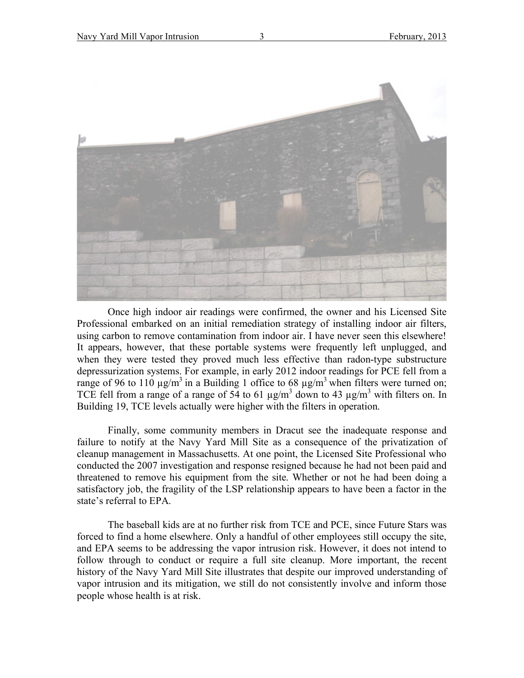

Once high indoor air readings were confirmed, the owner and his Licensed Site Professional embarked on an initial remediation strategy of installing indoor air filters, using carbon to remove contamination from indoor air. I have never seen this elsewhere! It appears, however, that these portable systems were frequently left unplugged, and when they were tested they proved much less effective than radon-type substructure depressurization systems. For example, in early 2012 indoor readings for PCE fell from a range of 96 to 110  $\mu$ g/m<sup>3</sup> in a Building 1 office to 68  $\mu$ g/m<sup>3</sup> when filters were turned on; TCE fell from a range of a range of 54 to 61  $\mu$ g/m<sup>3</sup> down to 43  $\mu$ g/m<sup>3</sup> with filters on. In Building 19, TCE levels actually were higher with the filters in operation.

Finally, some community members in Dracut see the inadequate response and failure to notify at the Navy Yard Mill Site as a consequence of the privatization of cleanup management in Massachusetts. At one point, the Licensed Site Professional who conducted the 2007 investigation and response resigned because he had not been paid and threatened to remove his equipment from the site. Whether or not he had been doing a satisfactory job, the fragility of the LSP relationship appears to have been a factor in the state's referral to EPA.

The baseball kids are at no further risk from TCE and PCE, since Future Stars was forced to find a home elsewhere. Only a handful of other employees still occupy the site, and EPA seems to be addressing the vapor intrusion risk. However, it does not intend to follow through to conduct or require a full site cleanup. More important, the recent history of the Navy Yard Mill Site illustrates that despite our improved understanding of vapor intrusion and its mitigation, we still do not consistently involve and inform those people whose health is at risk.